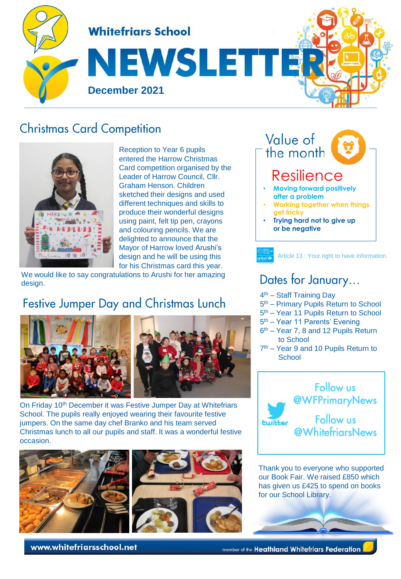

### **Christmas Card Competition**



Reception to Year 6 pupils entered the Harrow Christmas Card competition organised by the Leader of Harrow Council, Cllr. Graham Henson. Children sketched their designs and used different techniques and skills to produce their wonderful designs using paint, felt tip pen, crayons and colouring pencils. We are delighted to announce that the Mayor of Harrow loved Arushi's design and he will be using this for his Christmas card this year.

We would like to say congratulations to Arushi for her amazing design.

## Festive Jumper Day and Christmas Lunch



On Friday 10<sup>th</sup> December it was Festive Jumper Day at Whitefriars School. The pupils really enjoyed wearing their favourite festive jumpers. On the same day chef Branko and his team served Christmas lunch to all our pupils and staff. It was a wonderful festive occasion.



Value of the month **Resilience** • **Moving forward positively after a problem** • **Working together when things get tricky**

• **Trying hard not to give up or be negative** 

Article 13 : Your right to have information.

### Dates for January...

- 4<sup>th</sup> Staff Training Day
- 5<sup>th</sup> Primary Pupils Return to School
- 5<sup>th</sup> Year 11 Pupils Return to School
- 5<sup>th</sup> Year 11 Parents' Evening
- 6<sup>th</sup> Year 7, 8 and 12 Pupils Return to School
- 7<sup>th</sup> Year 9 and 10 Pupils Return to **School**



Thank you to everyone who supported our Book Fair. We raised £850 which has given us £425 to spend on books for our School Library.

www.whitefriarsschool.net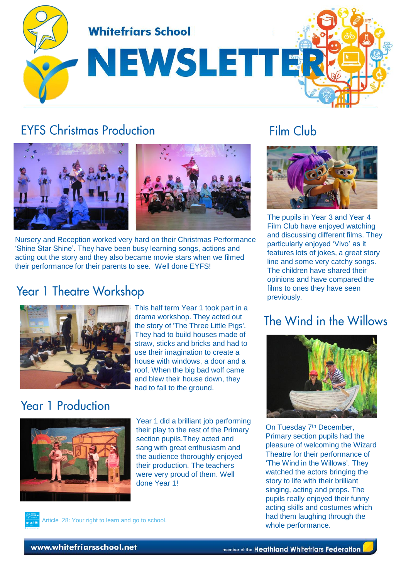

### **EYES Christmas Production**



Nursery and Reception worked very hard on their Christmas Performance 'Shine Star Shine'. They have been busy learning songs, actions and acting out the story and they also became movie stars when we filmed their performance for their parents to see. Well done EYFS!

#### **Year 1 Theatre Workshop**



This half term Year 1 took part in a drama workshop. They acted out the story of 'The Three Little Pigs'. They had to build houses made of straw, sticks and bricks and had to use their imagination to create a house with windows, a door and a roof. When the big bad wolf came and blew their house down, they had to fall to the ground.

### Year 1 Production



Year 1 did a brilliant job performing their play to the rest of the Primary section pupils.They acted and sang with great enthusiasm and the audience thoroughly enjoyed their production. The teachers were very proud of them. Well done Year 1!

The pupils in Year 3 and Year 4 Film Club have enjoyed watching and discussing different films. They particularly enjoyed 'Vivo' as it features lots of jokes, a great story line and some very catchy songs. The children have shared their opinions and have compared the films to ones they have seen

### The Wind in the Willows

previously.

Film Club



On Tuesday 7<sup>th</sup> December, Primary section pupils had the pleasure of welcoming the Wizard Theatre for their performance of 'The Wind in the Willows'. They watched the actors bringing the story to life with their brilliant singing, acting and props. The pupils really enjoyed their funny acting skills and costumes which had them laughing through the whole performance.



Article 28: Your right to learn and go to school.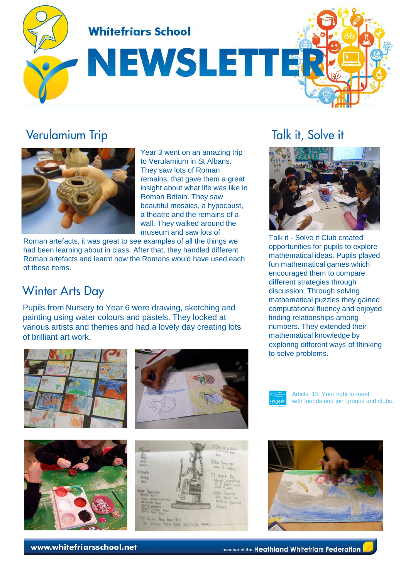

### **Verulamium Trip**



Year 3 went on an amazing trip to Verulamium in St Albans. They saw lots of Roman remains, that gave them a great insight about what life was like in Roman Britain. They saw beautiful mosaics, a hypocaust, a theatre and the remains of a wall. They walked around the museum and saw lots of

Roman artefacts, it was great to see examples of all the things we had been learning about in class. After that, they handled different Roman artefacts and learnt how the Romans would have used each of these items.

### **Winter Arts Day**

Pupils from Nursery to Year 6 were drawing, sketching and painting using water colours and pastels. They looked at various artists and themes and had a lovely day creating lots of brilliant art work.







list<br>1945 michael Source

Article 15: Your right to meet with friends and join groups and clubs.



# Talk it, Solve it



Talk it - Solve it Club created opportunities for pupils to explore mathematical ideas. Pupils played fun mathematical games which encouraged them to compare different strategies through discussion. Through solving mathematical puzzles they gained computational fluency and enjoyed finding relationships among numbers. They extended their mathematical knowledge by exploring different ways of thinking to solve problems.

www.whitefriarsschool.net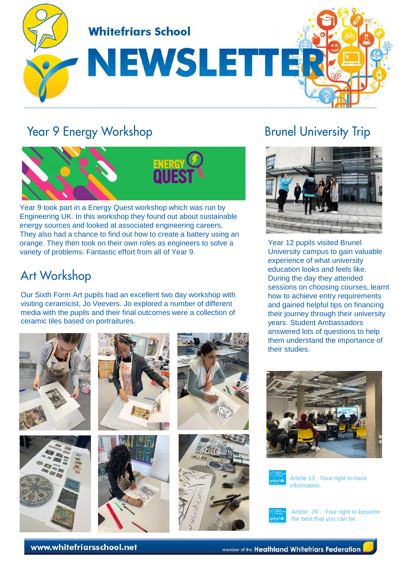

## Year 9 Energy Workshop



Year 9 took part in a Energy Quest workshop which was run by Engineering UK. In this workshop they found out about sustainable energy sources and looked at associated engineering careers. They also had a chance to find out how to create a battery using an orange. They then took on their own roles as engineers to solve a variety of problems. Fantastic effort from all of Year 9.

### **Art Workshop**

Our Sixth Form Art pupils had an excellent two day workshop with visiting ceramicist, Jo Veevers. Jo explored a number of different media with the pupils and their final outcomes were a collection of ceramic tiles based on portraitures.













# **Brunel University Trip**



Year 12 pupils visited Brunel University campus to gain valuable experience of what university education looks and feels like. During the day they attended sessions on choosing courses, learnt how to achieve entry requirements and gained helpful tips on financing their journey through their university years. Student Ambassadors answered lots of questions to help them understand the importance of their studies.





Article 13 : Your right to have information.



Article 29 : Your right to become the best that you can be.

www.whitefriarsschool.net